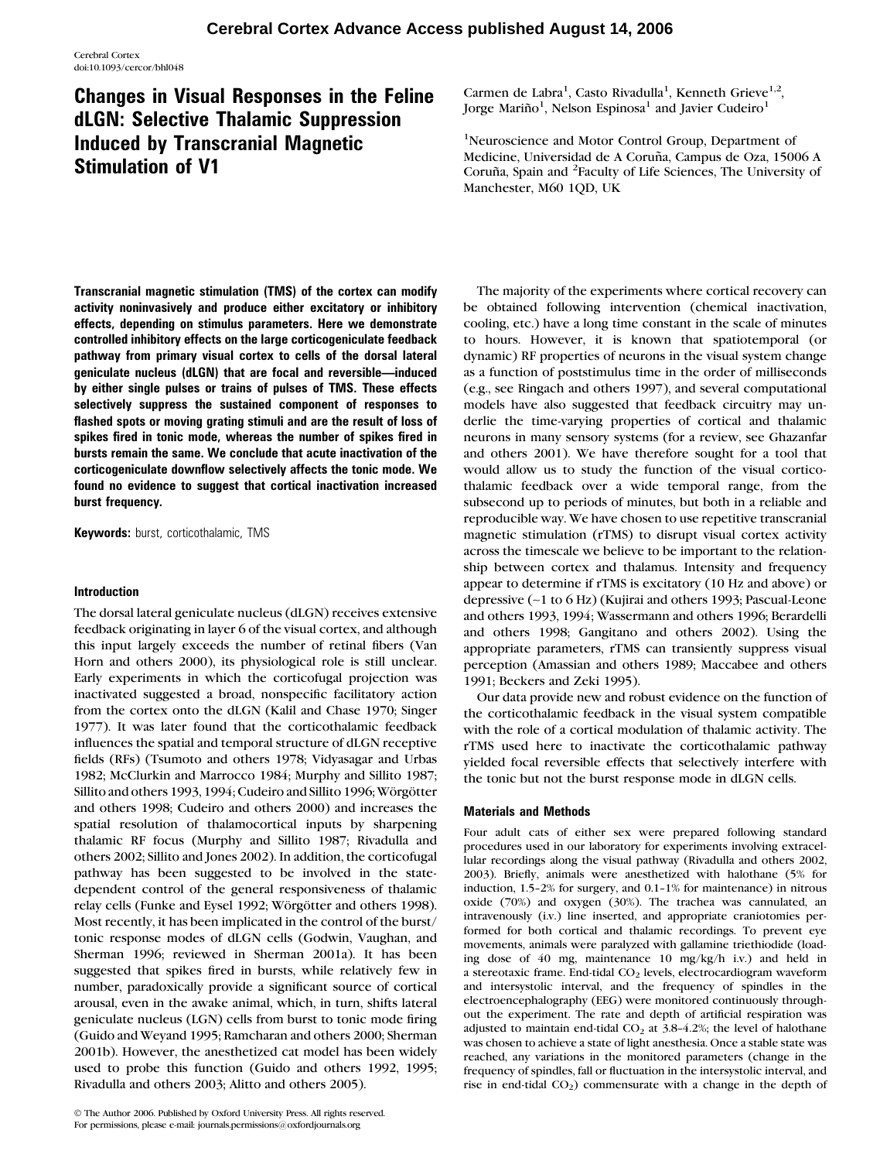# Changes in Visual Responses in the Feline dLGN: Selective Thalamic Suppression Induced by Transcranial Magnetic Stimulation of V1

Transcranial magnetic stimulation (TMS) of the cortex can modify activity noninvasively and produce either excitatory or inhibitory effects, depending on stimulus parameters. Here we demonstrate controlled inhibitory effects on the large corticogeniculate feedback pathway from primary visual cortex to cells of the dorsal lateral geniculate nucleus (dLGN) that are focal and reversible—induced by either single pulses or trains of pulses of TMS. These effects selectively suppress the sustained component of responses to flashed spots or moving grating stimuli and are the result of loss of spikes fired in tonic mode, whereas the number of spikes fired in bursts remain the same. We conclude that acute inactivation of the corticogeniculate downflow selectively affects the tonic mode. We found no evidence to suggest that cortical inactivation increased burst frequency.

**Keywords:** burst, corticothalamic, TMS

# Introduction

The dorsal lateral geniculate nucleus (dLGN) receives extensive feedback originating in layer 6 of the visual cortex, and although this input largely exceeds the number of retinal fibers (Van Horn and others 2000), its physiological role is still unclear. Early experiments in which the corticofugal projection was inactivated suggested a broad, nonspecific facilitatory action from the cortex onto the dLGN (Kalil and Chase 1970; Singer 1977). It was later found that the corticothalamic feedback influences the spatial and temporal structure of dLGN receptive fields (RFs) (Tsumoto and others 1978; Vidyasagar and Urbas 1982; McClurkin and Marrocco 1984; Murphy and Sillito 1987; Sillito and others 1993, 1994; Cudeiro and Sillito 1996; Wörgötter and others 1998; Cudeiro and others 2000) and increases the spatial resolution of thalamocortical inputs by sharpening thalamic RF focus (Murphy and Sillito 1987; Rivadulla and others 2002; Sillito and Jones 2002). In addition, the corticofugal pathway has been suggested to be involved in the statedependent control of the general responsiveness of thalamic relay cells (Funke and Eysel 1992; Wörgötter and others 1998). Most recently, it has been implicated in the control of the burst/ tonic response modes of dLGN cells (Godwin, Vaughan, and Sherman 1996; reviewed in Sherman 2001a). It has been suggested that spikes fired in bursts, while relatively few in number, paradoxically provide a significant source of cortical arousal, even in the awake animal, which, in turn, shifts lateral geniculate nucleus (LGN) cells from burst to tonic mode firing (Guido and Weyand 1995; Ramcharan and others 2000; Sherman 2001b). However, the anesthetized cat model has been widely used to probe this function (Guido and others 1992, 1995; Rivadulla and others 2003; Alitto and others 2005).

Carmen de Labra<sup>1</sup>, Casto Rivadulla<sup>1</sup>, Kenneth Grieve<sup>1,2</sup>, Jorge Mariño $^1$ , Nelson Espinosa $^1$  and Javier Cudeiro $^1$ 

<sup>1</sup>Neuroscience and Motor Control Group, Department of Medicine, Universidad de A Coruña, Campus de Oza, 15006 A Coruña, Spain and <sup>2</sup>Faculty of Life Sciences, The University of Manchester, M60 1QD, UK

The majority of the experiments where cortical recovery can be obtained following intervention (chemical inactivation, cooling, etc.) have a long time constant in the scale of minutes to hours. However, it is known that spatiotemporal (or dynamic) RF properties of neurons in the visual system change as a function of poststimulus time in the order of milliseconds (e.g., see Ringach and others 1997), and several computational models have also suggested that feedback circuitry may underlie the time-varying properties of cortical and thalamic neurons in many sensory systems (for a review, see Ghazanfar and others 2001). We have therefore sought for a tool that would allow us to study the function of the visual corticothalamic feedback over a wide temporal range, from the subsecond up to periods of minutes, but both in a reliable and reproducible way. We have chosen to use repetitive transcranial magnetic stimulation (rTMS) to disrupt visual cortex activity across the timescale we believe to be important to the relationship between cortex and thalamus. Intensity and frequency appear to determine if rTMS is excitatory (10 Hz and above) or depressive (~1 to 6 Hz) (Kujirai and others 1993; Pascual-Leone and others 1993, 1994; Wassermann and others 1996; Berardelli and others 1998; Gangitano and others 2002). Using the appropriate parameters, rTMS can transiently suppress visual perception (Amassian and others 1989; Maccabee and others 1991; Beckers and Zeki 1995).

Our data provide new and robust evidence on the function of the corticothalamic feedback in the visual system compatible with the role of a cortical modulation of thalamic activity. The rTMS used here to inactivate the corticothalamic pathway yielded focal reversible effects that selectively interfere with the tonic but not the burst response mode in dLGN cells.

# Materials and Methods

Four adult cats of either sex were prepared following standard procedures used in our laboratory for experiments involving extracellular recordings along the visual pathway (Rivadulla and others 2002, 2003). Briefly, animals were anesthetized with halothane (5% for induction,  $1.5-2%$  for surgery, and  $0.1-1%$  for maintenance) in nitrous oxide (70%) and oxygen (30%). The trachea was cannulated, an intravenously (i.v.) line inserted, and appropriate craniotomies performed for both cortical and thalamic recordings. To prevent eye movements, animals were paralyzed with gallamine triethiodide (loading dose of 40 mg, maintenance 10 mg/kg/h i.v.) and held in a stereotaxic frame. End-tidal CO<sub>2</sub> levels, electrocardiogram waveform and intersystolic interval, and the frequency of spindles in the electroencephalography (EEG) were monitored continuously throughout the experiment. The rate and depth of artificial respiration was adjusted to maintain end-tidal  $CO<sub>2</sub>$  at 3.8-4.2%; the level of halothane was chosen to achieve a state of light anesthesia. Once a stable state was reached, any variations in the monitored parameters (change in the frequency of spindles, fall or fluctuation in the intersystolic interval, and rise in end-tidal  $CO<sub>2</sub>$ ) commensurate with a change in the depth of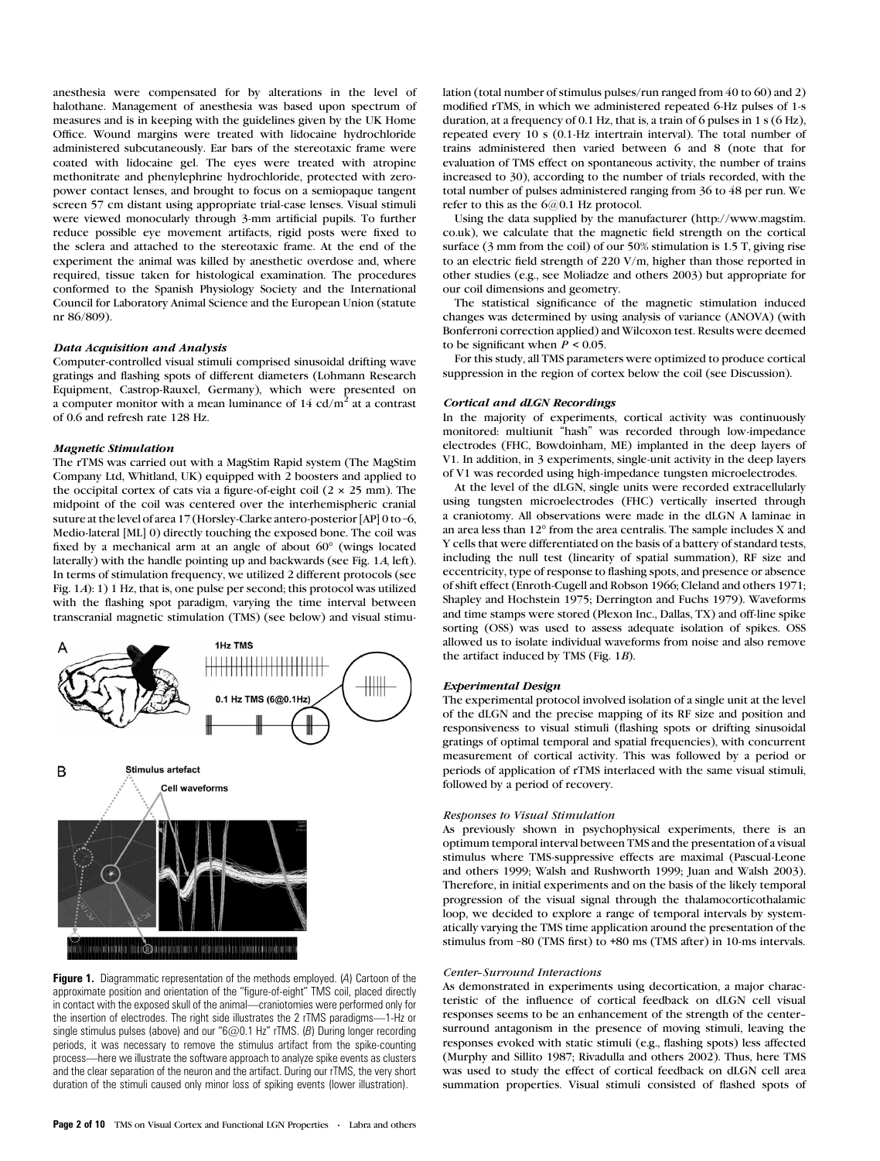anesthesia were compensated for by alterations in the level of halothane. Management of anesthesia was based upon spectrum of measures and is in keeping with the guidelines given by the UK Home Office. Wound margins were treated with lidocaine hydrochloride administered subcutaneously. Ear bars of the stereotaxic frame were coated with lidocaine gel. The eyes were treated with atropine methonitrate and phenylephrine hydrochloride, protected with zeropower contact lenses, and brought to focus on a semiopaque tangent screen 57 cm distant using appropriate trial-case lenses. Visual stimuli were viewed monocularly through 3-mm artificial pupils. To further reduce possible eye movement artifacts, rigid posts were fixed to the sclera and attached to the stereotaxic frame. At the end of the experiment the animal was killed by anesthetic overdose and, where required, tissue taken for histological examination. The procedures conformed to the Spanish Physiology Society and the International Council for Laboratory Animal Science and the European Union (statute nr 86/809).

## Data Acquisition and Analysis

Computer-controlled visual stimuli comprised sinusoidal drifting wave gratings and flashing spots of different diameters (Lohmann Research Equipment, Castrop-Rauxel, Germany), which were presented on a computer monitor with a mean luminance of  $14 \text{ cd/m}^2$  at a contrast of 0.6 and refresh rate 128 Hz.

#### Magnetic Stimulation

The rTMS was carried out with a MagStim Rapid system (The MagStim Company Ltd, Whitland, UK) equipped with 2 boosters and applied to the occipital cortex of cats via a figure-of-eight coil (2 *3* 25 mm). The midpoint of the coil was centered over the interhemispheric cranial suture at the level of area 17 (Horsley-Clarke antero-posterior [AP] 0 to –6, Medio-lateral [ML] 0) directly touching the exposed bone. The coil was fixed by a mechanical arm at an angle of about  $60^{\circ}$  (wings located laterally) with the handle pointing up and backwards (see Fig. 1A, left). In terms of stimulation frequency, we utilized 2 different protocols (see Fig. 1A): 1) 1 Hz, that is, one pulse per second; this protocol was utilized with the flashing spot paradigm, varying the time interval between transcranial magnetic stimulation (TMS) (see below) and visual stimu-



**Figure 1.** Diagrammatic representation of the methods employed. (A) Cartoon of the approximate position and orientation of the ''figure-of-eight'' TMS coil, placed directly in contact with the exposed skull of the animal—craniotomies were performed only for the insertion of electrodes. The right side illustrates the 2 rTMS paradigms—1-Hz or single stimulus pulses (above) and our " $6@0.1$  Hz" rTMS. (B) During longer recording periods, it was necessary to remove the stimulus artifact from the spike-counting process—here we illustrate the software approach to analyze spike events as clusters and the clear separation of the neuron and the artifact. During our rTMS, the very short duration of the stimuli caused only minor loss of spiking events (lower illustration).

lation (total number of stimulus pulses/run ranged from 40 to 60) and 2) modified rTMS, in which we administered repeated 6-Hz pulses of 1-s duration, at a frequency of 0.1 Hz, that is, a train of 6 pulses in 1 s (6 Hz), repeated every 10 s (0.1-Hz intertrain interval). The total number of trains administered then varied between 6 and 8 (note that for evaluation of TMS effect on spontaneous activity, the number of trains increased to 30), according to the number of trials recorded, with the total number of pulses administered ranging from 36 to 48 per run. We refer to this as the 6@0.1 Hz protocol.

Using the data supplied by the manufacturer (http://www.magstim. co.uk), we calculate that the magnetic field strength on the cortical surface (3 mm from the coil) of our 50% stimulation is 1.5 T, giving rise to an electric field strength of 220 V/m, higher than those reported in other studies (e.g., see Moliadze and others 2003) but appropriate for our coil dimensions and geometry.

The statistical significance of the magnetic stimulation induced changes was determined by using analysis of variance (ANOVA) (with Bonferroni correction applied) and Wilcoxon test. Results were deemed to be significant when  $P \le 0.05$ .

For this study, all TMS parameters were optimized to produce cortical suppression in the region of cortex below the coil (see Discussion).

#### Cortical and dLGN Recordings

In the majority of experiments, cortical activity was continuously monitored: multiunit ''hash'' was recorded through low-impedance electrodes (FHC, Bowdoinham, ME) implanted in the deep layers of V1. In addition, in 3 experiments, single-unit activity in the deep layers of V1 was recorded using high-impedance tungsten microelectrodes.

At the level of the dLGN, single units were recorded extracellularly using tungsten microelectrodes (FHC) vertically inserted through a craniotomy. All observations were made in the dLGN A laminae in an area less than 12° from the area centralis. The sample includes X and Y cells that were differentiated on the basis of a battery of standard tests, including the null test (linearity of spatial summation), RF size and eccentricity, type of response to flashing spots, and presence or absence of shift effect (Enroth-Cugell and Robson 1966; Cleland and others 1971; Shapley and Hochstein 1975; Derrington and Fuchs 1979). Waveforms and time stamps were stored (Plexon Inc., Dallas, TX) and off-line spike sorting (OSS) was used to assess adequate isolation of spikes. OSS allowed us to isolate individual waveforms from noise and also remove the artifact induced by TMS (Fig. 1B).

## Experimental Design

The experimental protocol involved isolation of a single unit at the level of the dLGN and the precise mapping of its RF size and position and responsiveness to visual stimuli (flashing spots or drifting sinusoidal gratings of optimal temporal and spatial frequencies), with concurrent measurement of cortical activity. This was followed by a period or periods of application of rTMS interlaced with the same visual stimuli, followed by a period of recovery.

#### Responses to Visual Stimulation

As previously shown in psychophysical experiments, there is an optimum temporal interval between TMS and the presentation of a visual stimulus where TMS-suppressive effects are maximal (Pascual-Leone and others 1999; Walsh and Rushworth 1999; Juan and Walsh 2003). Therefore, in initial experiments and on the basis of the likely temporal progression of the visual signal through the thalamocorticothalamic loop, we decided to explore a range of temporal intervals by systematically varying the TMS time application around the presentation of the stimulus from –80 (TMS first) to +80 ms (TMS after) in 10-ms intervals.

#### Center--Surround Interactions

As demonstrated in experiments using decortication, a major characteristic of the influence of cortical feedback on dLGN cell visual responses seems to be an enhancement of the strength of the center- surround antagonism in the presence of moving stimuli, leaving the responses evoked with static stimuli (e.g., flashing spots) less affected (Murphy and Sillito 1987; Rivadulla and others 2002). Thus, here TMS was used to study the effect of cortical feedback on dLGN cell area summation properties. Visual stimuli consisted of flashed spots of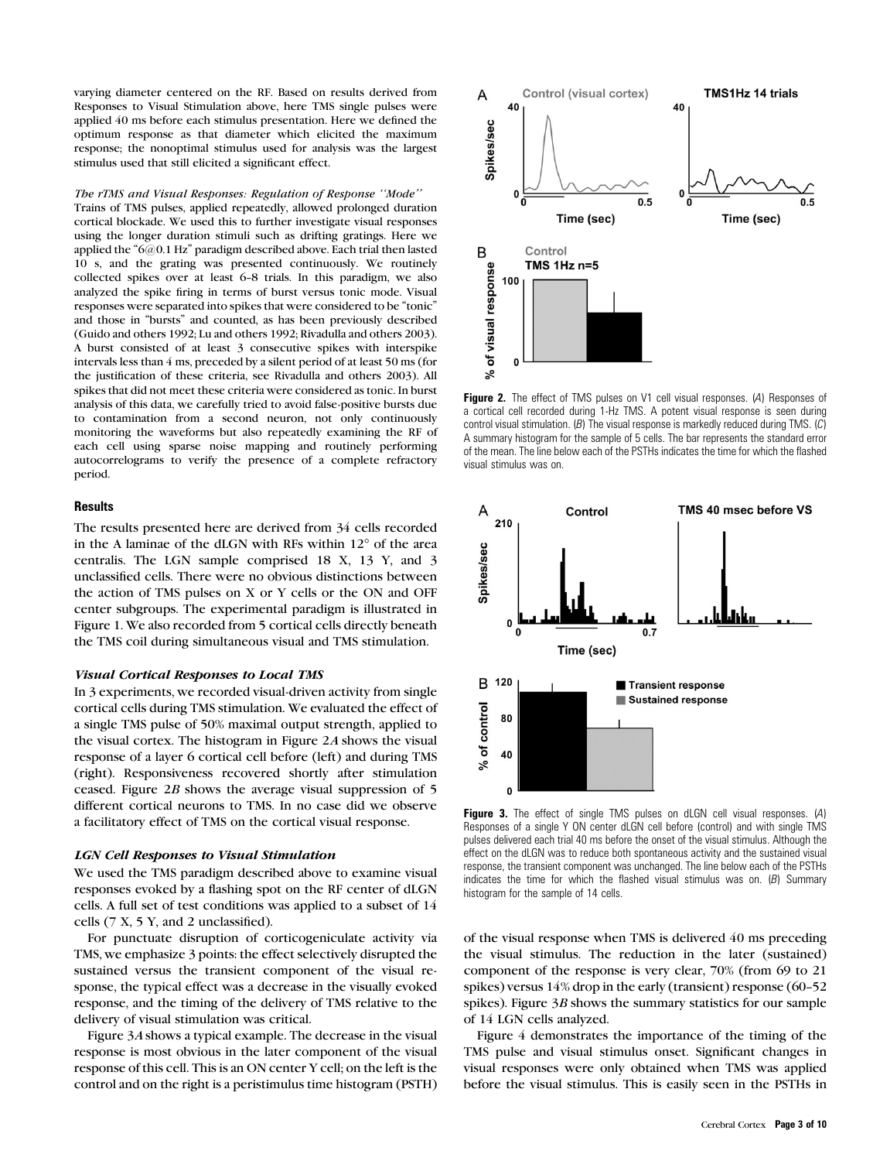varying diameter centered on the RF. Based on results derived from Responses to Visual Stimulation above, here TMS single pulses were applied 40 ms before each stimulus presentation. Here we defined the optimum response as that diameter which elicited the maximum response; the nonoptimal stimulus used for analysis was the largest stimulus used that still elicited a significant effect.

The rTMS and Visual Responses: Regulation of Response ''Mode'' Trains of TMS pulses, applied repeatedly, allowed prolonged duration cortical blockade. We used this to further investigate visual responses using the longer duration stimuli such as drifting gratings. Here we applied the "6@0.1 Hz" paradigm described above. Each trial then lasted 10 s, and the grating was presented continuously. We routinely collected spikes over at least 6-8 trials. In this paradigm, we also analyzed the spike firing in terms of burst versus tonic mode. Visual responses were separated into spikes that were considered to be ''tonic'' and those in ''bursts'' and counted, as has been previously described (Guido and others 1992; Lu and others 1992; Rivadulla and others 2003). A burst consisted of at least 3 consecutive spikes with interspike intervals less than 4 ms, preceded by a silent period of at least 50 ms (for the justification of these criteria, see Rivadulla and others 2003). All spikes that did not meet these criteria were considered as tonic. In burst analysis of this data, we carefully tried to avoid false-positive bursts due to contamination from a second neuron, not only continuously monitoring the waveforms but also repeatedly examining the RF of each cell using sparse noise mapping and routinely performing autocorrelograms to verify the presence of a complete refractory period.

# **Results**

The results presented here are derived from 34 cells recorded in the A laminae of the dLGN with RFs within  $12^{\circ}$  of the area centralis. The LGN sample comprised 18 X, 13 Y, and 3 unclassified cells. There were no obvious distinctions between the action of TMS pulses on X or Y cells or the ON and OFF center subgroups. The experimental paradigm is illustrated in Figure 1. We also recorded from 5 cortical cells directly beneath the TMS coil during simultaneous visual and TMS stimulation.

#### Visual Cortical Responses to Local TMS

In 3 experiments, we recorded visual-driven activity from single cortical cells during TMS stimulation. We evaluated the effect of a single TMS pulse of 50% maximal output strength, applied to the visual cortex. The histogram in Figure 2A shows the visual response of a layer 6 cortical cell before (left) and during TMS (right). Responsiveness recovered shortly after stimulation ceased. Figure 2B shows the average visual suppression of 5 different cortical neurons to TMS. In no case did we observe a facilitatory effect of TMS on the cortical visual response.

# LGN Cell Responses to Visual Stimulation

We used the TMS paradigm described above to examine visual responses evoked by a flashing spot on the RF center of dLGN cells. A full set of test conditions was applied to a subset of 14 cells (7 X, 5 Y, and 2 unclassified).

For punctuate disruption of corticogeniculate activity via TMS, we emphasize 3 points: the effect selectively disrupted the sustained versus the transient component of the visual response, the typical effect was a decrease in the visually evoked response, and the timing of the delivery of TMS relative to the delivery of visual stimulation was critical.

Figure 3A shows a typical example. The decrease in the visual response is most obvious in the later component of the visual response of this cell. This is an ON center Y cell; on the left is the control and on the right is a peristimulus time histogram (PSTH)



Figure 2. The effect of TMS pulses on V1 cell visual responses. (A) Responses of a cortical cell recorded during 1-Hz TMS. A potent visual response is seen during control visual stimulation.  $(B)$  The visual response is markedly reduced during TMS.  $(C)$ A summary histogram for the sample of 5 cells. The bar represents the standard error of the mean. The line below each of the PSTHs indicates the time for which the flashed visual stimulus was on.



Figure 3. The effect of single TMS pulses on dLGN cell visual responses. (A) Responses of a single Y ON center dLGN cell before (control) and with single TMS pulses delivered each trial 40 ms before the onset of the visual stimulus. Although the effect on the dLGN was to reduce both spontaneous activity and the sustained visual response, the transient component was unchanged. The line below each of the PSTHs indicates the time for which the flashed visual stimulus was on.  $(B)$  Summary histogram for the sample of 14 cells.

of the visual response when TMS is delivered 40 ms preceding the visual stimulus. The reduction in the later (sustained) component of the response is very clear, 70% (from 69 to 21 spikes) versus  $14\%$  drop in the early (transient) response (60-52 spikes). Figure 3B shows the summary statistics for our sample of 14 LGN cells analyzed.

Figure 4 demonstrates the importance of the timing of the TMS pulse and visual stimulus onset. Significant changes in visual responses were only obtained when TMS was applied before the visual stimulus. This is easily seen in the PSTHs in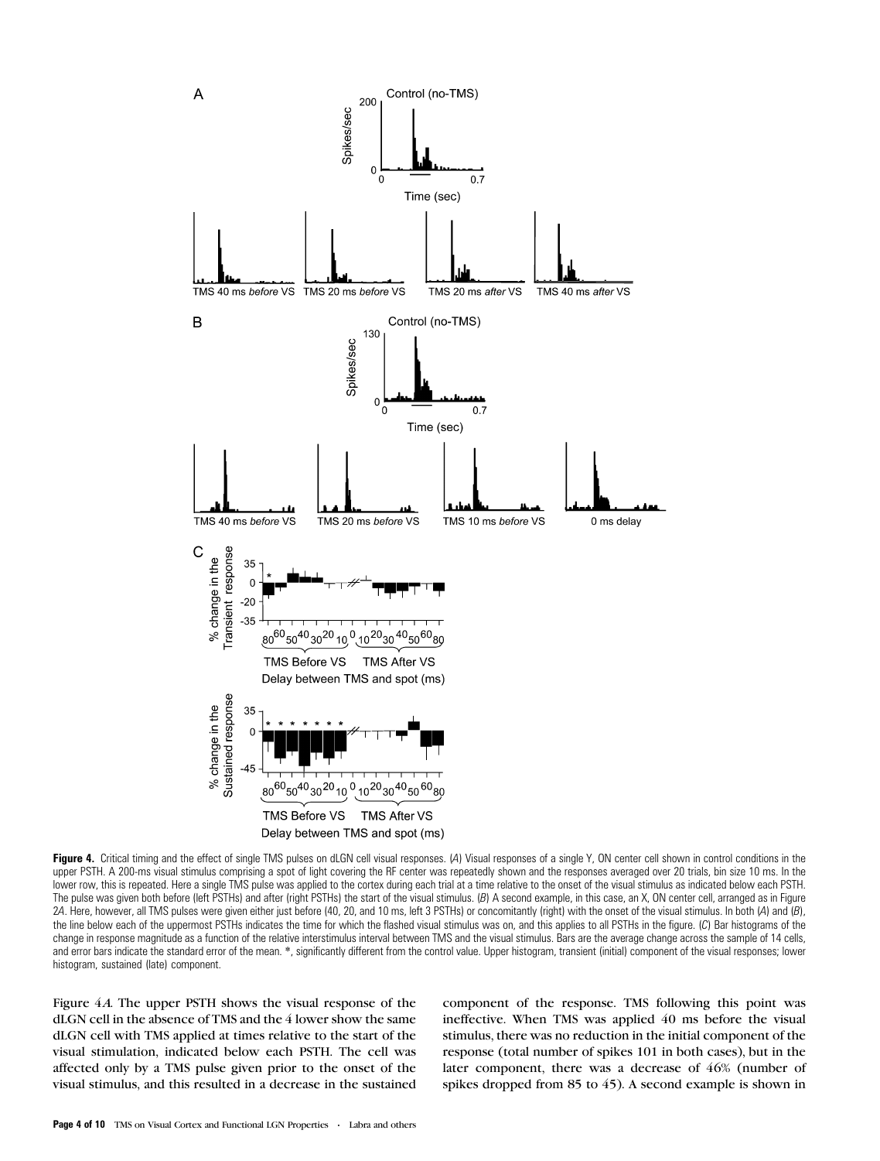

Figure 4. Critical timing and the effect of single TMS pulses on dLGN cell visual responses. (A) Visual responses of a single Y, ON center cell shown in control conditions in the upper PSTH. A 200-ms visual stimulus comprising a spot of light covering the RF center was repeatedly shown and the responses averaged over 20 trials, bin size 10 ms. In the lower row, this is repeated. Here a single TMS pulse was applied to the cortex during each trial at a time relative to the onset of the visual stimulus as indicated below each PSTH. The pulse was given both before (left PSTHs) and after (right PSTHs) the start of the visual stimulus. (B) A second example, in this case, an X, ON center cell, arranged as in Figure 2A. Here, however, all TMS pulses were given either just before (40, 20, and 10 ms, left 3 PSTHs) or concomitantly (right) with the onset of the visual stimulus. In both (A) and (B), the line below each of the uppermost PSTHs indicates the time for which the flashed visual stimulus was on, and this applies to all PSTHs in the figure. (C) Bar histograms of the change in response magnitude as a function of the relative interstimulus interval between TMS and the visual stimulus. Bars are the average change across the sample of 14 cells, and error bars indicate the standard error of the mean. \*, significantly different from the control value. Upper histogram, transient (initial) component of the visual responses; lower histogram, sustained (late) component.

Figure 4A. The upper PSTH shows the visual response of the dLGN cell in the absence of TMS and the 4 lower show the same dLGN cell with TMS applied at times relative to the start of the visual stimulation, indicated below each PSTH. The cell was affected only by a TMS pulse given prior to the onset of the visual stimulus, and this resulted in a decrease in the sustained component of the response. TMS following this point was ineffective. When TMS was applied 40 ms before the visual stimulus, there was no reduction in the initial component of the response (total number of spikes 101 in both cases), but in the later component, there was a decrease of 46% (number of spikes dropped from 85 to 45). A second example is shown in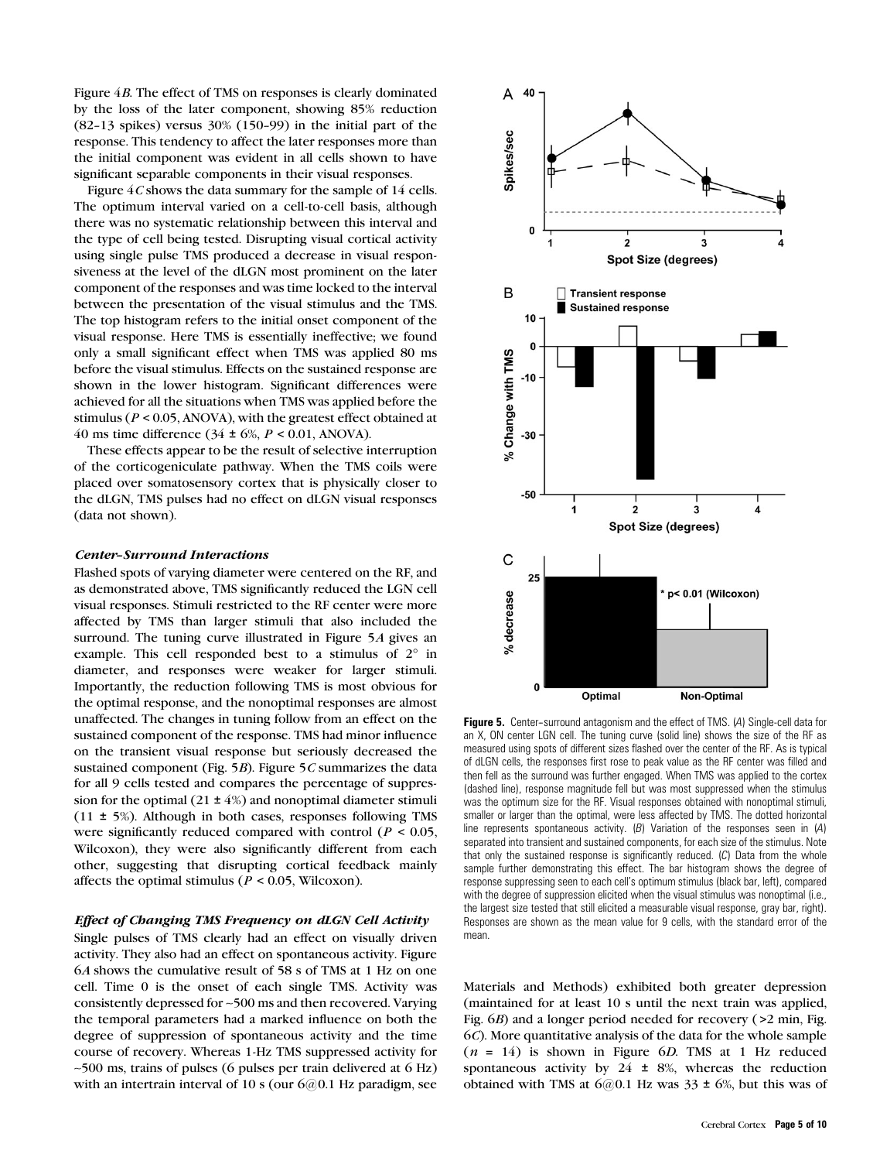Figure 4B. The effect of TMS on responses is clearly dominated by the loss of the later component, showing 85% reduction  $(82-13$  spikes) versus  $30\%$   $(150-99)$  in the initial part of the response. This tendency to affect the later responses more than the initial component was evident in all cells shown to have significant separable components in their visual responses.

Figure  $4C$  shows the data summary for the sample of 14 cells. The optimum interval varied on a cell-to-cell basis, although there was no systematic relationship between this interval and the type of cell being tested. Disrupting visual cortical activity using single pulse TMS produced a decrease in visual responsiveness at the level of the dLGN most prominent on the later component of the responses and was time locked to the interval between the presentation of the visual stimulus and the TMS. The top histogram refers to the initial onset component of the visual response. Here TMS is essentially ineffective; we found only a small significant effect when TMS was applied 80 ms before the visual stimulus. Effects on the sustained response are shown in the lower histogram. Significant differences were achieved for all the situations when TMS was applied before the stimulus ( $P \le 0.05$ , ANOVA), with the greatest effect obtained at 40 ms time difference  $(34 \pm 6\%, P \le 0.01, ANOVA)$ .

These effects appear to be the result of selective interruption of the corticogeniculate pathway. When the TMS coils were placed over somatosensory cortex that is physically closer to the dLGN, TMS pulses had no effect on dLGN visual responses (data not shown).

#### **Center-Surround Interactions**

Flashed spots of varying diameter were centered on the RF, and as demonstrated above, TMS significantly reduced the LGN cell visual responses. Stimuli restricted to the RF center were more affected by TMS than larger stimuli that also included the surround. The tuning curve illustrated in Figure 5A gives an example. This cell responded best to a stimulus of  $2^\circ$  in diameter, and responses were weaker for larger stimuli. Importantly, the reduction following TMS is most obvious for the optimal response, and the nonoptimal responses are almost unaffected. The changes in tuning follow from an effect on the sustained component of the response. TMS had minor influence on the transient visual response but seriously decreased the sustained component (Fig.  $5B$ ). Figure  $5C$  summarizes the data for all 9 cells tested and compares the percentage of suppression for the optimal  $(21 \pm 4\%)$  and nonoptimal diameter stimuli  $(11 \pm 5\%)$ . Although in both cases, responses following TMS were significantly reduced compared with control ( $P < 0.05$ , Wilcoxon), they were also significantly different from each other, suggesting that disrupting cortical feedback mainly affects the optimal stimulus ( $P < 0.05$ , Wilcoxon).

### Effect of Changing TMS Frequency on dLGN Cell Activity

Single pulses of TMS clearly had an effect on visually driven activity. They also had an effect on spontaneous activity. Figure 6A shows the cumulative result of 58 s of TMS at 1 Hz on one cell. Time 0 is the onset of each single TMS. Activity was consistently depressed for ~500 ms and then recovered. Varying the temporal parameters had a marked influence on both the degree of suppression of spontaneous activity and the time course of recovery. Whereas 1-Hz TMS suppressed activity for  $\sim$ 500 ms, trains of pulses (6 pulses per train delivered at 6 Hz) with an intertrain interval of 10 s (our  $6@0.1$  Hz paradigm, see



Figure 5. Center-surround antagonism and the effect of TMS. (A) Single-cell data for an X, ON center LGN cell. The tuning curve (solid line) shows the size of the RF as measured using spots of different sizes flashed over the center of the RF. As is typical of dLGN cells, the responses first rose to peak value as the RF center was filled and then fell as the surround was further engaged. When TMS was applied to the cortex (dashed line), response magnitude fell but was most suppressed when the stimulus was the optimum size for the RF. Visual responses obtained with nonoptimal stimuli, smaller or larger than the optimal, were less affected by TMS. The dotted horizontal line represents spontaneous activity. (B) Variation of the responses seen in (A) separated into transient and sustained components, for each size of the stimulus. Note that only the sustained response is significantly reduced.  $(C)$  Data from the whole sample further demonstrating this effect. The bar histogram shows the degree of response suppressing seen to each cell's optimum stimulus (black bar, left), compared with the degree of suppression elicited when the visual stimulus was nonoptimal (i.e., the largest size tested that still elicited a measurable visual response, gray bar, right). Responses are shown as the mean value for 9 cells, with the standard error of the mean.

Materials and Methods) exhibited both greater depression (maintained for at least 10 s until the next train was applied, Fig. 6B) and a longer period needed for recovery ( >2 min, Fig. 6C). More quantitative analysis of the data for the whole sample  $(n = 14)$  is shown in Figure 6D. TMS at 1 Hz reduced spontaneous activity by  $24 \pm 8\%$ , whereas the reduction obtained with TMS at  $6@0.1$  Hz was  $33 \pm 6\%$ , but this was of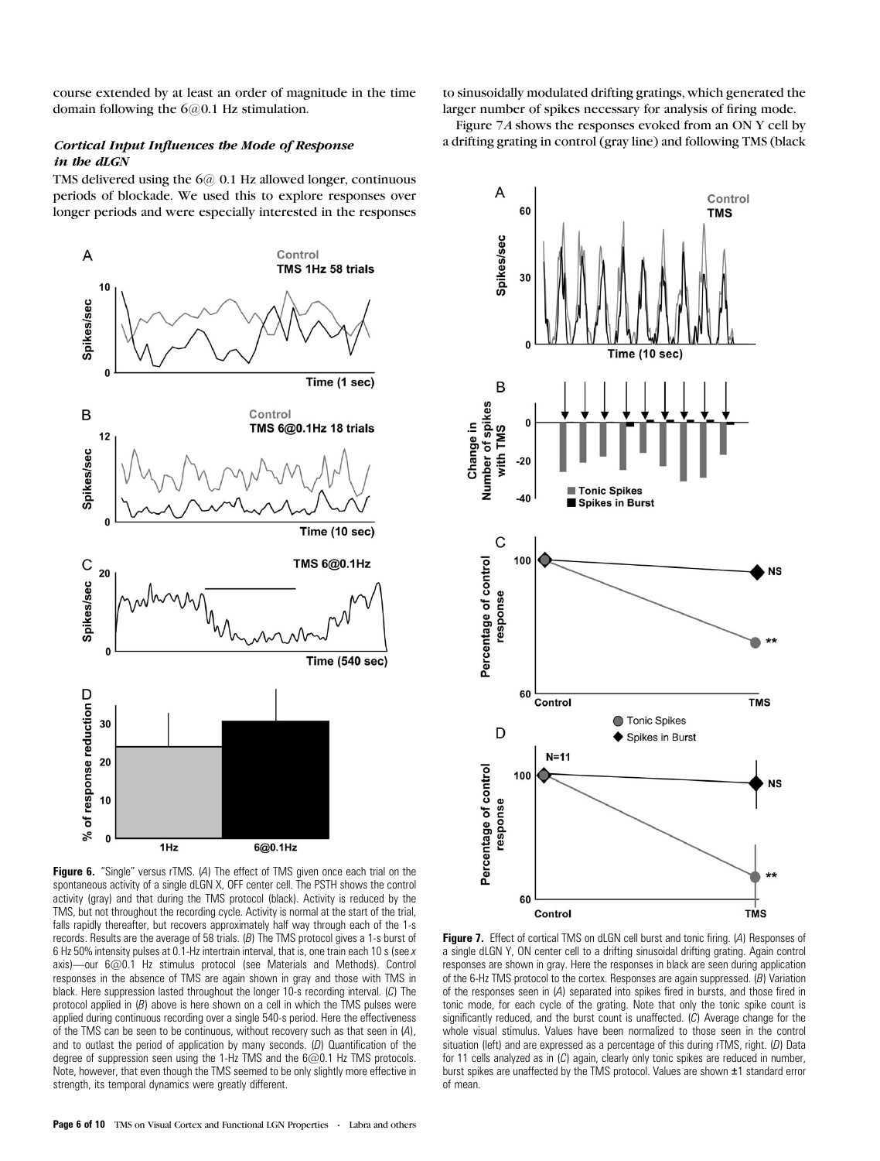course extended by at least an order of magnitude in the time domain following the 6@0.1 Hz stimulation.

# Cortical Input Influences the Mode of Response in the dLGN

TMS delivered using the 6@ 0.1 Hz allowed longer, continuous periods of blockade. We used this to explore responses over longer periods and were especially interested in the responses



spontaneous activity of a single dLGN X, OFF center cell. The PSTH shows the control activity (gray) and that during the TMS protocol (black). Activity is reduced by the TMS, but not throughout the recording cycle. Activity is normal at the start of the trial, falls rapidly thereafter, but recovers approximately half way through each of the 1-s records. Results are the average of 58 trials. (B) The TMS protocol gives a 1-s burst of 6 Hz 50% intensity pulses at 0.1-Hz intertrain interval, that is, one train each 10 s (see x axis)—our 6@0.1 Hz stimulus protocol (see Materials and Methods). Control responses in the absence of TMS are again shown in gray and those with TMS in black. Here suppression lasted throughout the longer 10-s recording interval. (C) The protocol applied in  $(B)$  above is here shown on a cell in which the TMS pulses were applied during continuous recording over a single 540-s period. Here the effectiveness of the TMS can be seen to be continuous, without recovery such as that seen in (A), and to outlast the period of application by many seconds.  $(D)$  Quantification of the degree of suppression seen using the 1-Hz TMS and the 6@0.1 Hz TMS protocols. Note, however, that even though the TMS seemed to be only slightly more effective in strength, its temporal dynamics were greatly different.

to sinusoidally modulated drifting gratings, which generated the larger number of spikes necessary for analysis of firing mode.

Figure 7A shows the responses evoked from an ON Y cell by a drifting grating in control (gray line) and following TMS (black



Figure 7. Effect of cortical TMS on dLGN cell burst and tonic firing. (A) Responses of a single dLGN Y, ON center cell to a drifting sinusoidal drifting grating. Again control responses are shown in gray. Here the responses in black are seen during application of the 6-Hz TMS protocol to the cortex. Responses are again suppressed. (B) Variation of the responses seen in (A) separated into spikes fired in bursts, and those fired in tonic mode, for each cycle of the grating. Note that only the tonic spike count is significantly reduced, and the burst count is unaffected. (C) Average change for the whole visual stimulus. Values have been normalized to those seen in the control situation (left) and are expressed as a percentage of this during rTMS, right. (D) Data for 11 cells analyzed as in (C) again, clearly only tonic spikes are reduced in number, burst spikes are unaffected by the TMS protocol. Values are shown ±1 standard error of mean.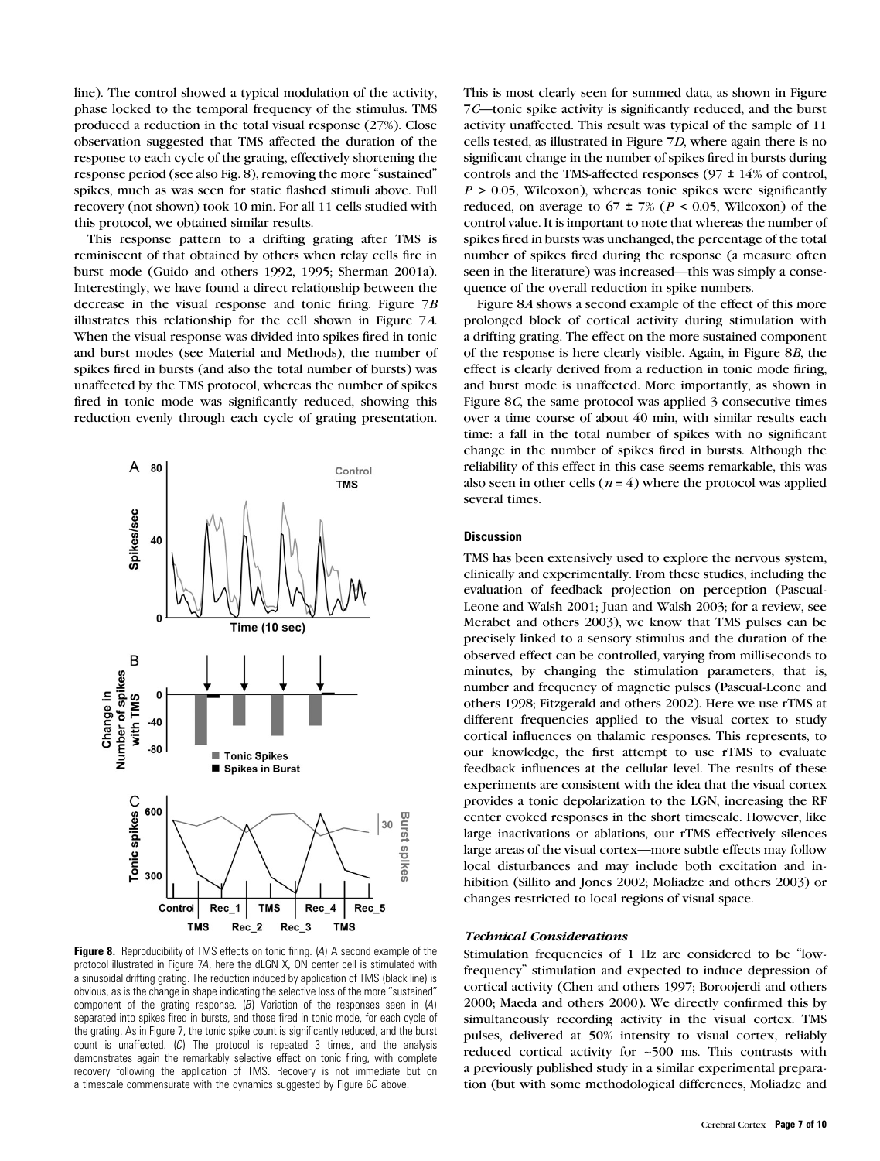line). The control showed a typical modulation of the activity, phase locked to the temporal frequency of the stimulus. TMS produced a reduction in the total visual response (27%). Close observation suggested that TMS affected the duration of the response to each cycle of the grating, effectively shortening the response period (see also Fig. 8), removing the more ''sustained'' spikes, much as was seen for static flashed stimuli above. Full recovery (not shown) took 10 min. For all 11 cells studied with this protocol, we obtained similar results.

This response pattern to a drifting grating after TMS is reminiscent of that obtained by others when relay cells fire in burst mode (Guido and others 1992, 1995; Sherman 2001a). Interestingly, we have found a direct relationship between the decrease in the visual response and tonic firing. Figure 7B illustrates this relationship for the cell shown in Figure 7A. When the visual response was divided into spikes fired in tonic and burst modes (see Material and Methods), the number of spikes fired in bursts (and also the total number of bursts) was unaffected by the TMS protocol, whereas the number of spikes fired in tonic mode was significantly reduced, showing this reduction evenly through each cycle of grating presentation.



Figure 8. Reproducibility of TMS effects on tonic firing. (A) A second example of the protocol illustrated in Figure 7A, here the dLGN X, ON center cell is stimulated with a sinusoidal drifting grating. The reduction induced by application of TMS (black line) is obvious, as is the change in shape indicating the selective loss of the more ''sustained'' component of the grating response.  $(B)$  Variation of the responses seen in  $(A)$ separated into spikes fired in bursts, and those fired in tonic mode, for each cycle of the grating. As in Figure 7, the tonic spike count is significantly reduced, and the burst count is unaffected. (C) The protocol is repeated 3 times, and the analysis demonstrates again the remarkably selective effect on tonic firing, with complete recovery following the application of TMS. Recovery is not immediate but on a timescale commensurate with the dynamics suggested by Figure 6C above.

This is most clearly seen for summed data, as shown in Figure 7C—tonic spike activity is significantly reduced, and the burst activity unaffected. This result was typical of the sample of 11 cells tested, as illustrated in Figure 7D, where again there is no significant change in the number of spikes fired in bursts during controls and the TMS-affected responses ( $97 \pm 14\%$  of control,  $P > 0.05$ , Wilcoxon), whereas tonic spikes were significantly reduced, on average to  $67 \pm 7\%$  ( $P < 0.05$ , Wilcoxon) of the control value. It is important to note that whereas the number of spikes fired in bursts was unchanged, the percentage of the total number of spikes fired during the response (a measure often seen in the literature) was increased—this was simply a consequence of the overall reduction in spike numbers.

Figure 8A shows a second example of the effect of this more prolonged block of cortical activity during stimulation with a drifting grating. The effect on the more sustained component of the response is here clearly visible. Again, in Figure 8B, the effect is clearly derived from a reduction in tonic mode firing, and burst mode is unaffected. More importantly, as shown in Figure 8C, the same protocol was applied 3 consecutive times over a time course of about 40 min, with similar results each time: a fall in the total number of spikes with no significant change in the number of spikes fired in bursts. Although the reliability of this effect in this case seems remarkable, this was also seen in other cells ( $n = 4$ ) where the protocol was applied several times.

## **Discussion**

TMS has been extensively used to explore the nervous system, clinically and experimentally. From these studies, including the evaluation of feedback projection on perception (Pascual-Leone and Walsh 2001; Juan and Walsh 2003; for a review, see Merabet and others 2003), we know that TMS pulses can be precisely linked to a sensory stimulus and the duration of the observed effect can be controlled, varying from milliseconds to minutes, by changing the stimulation parameters, that is, number and frequency of magnetic pulses (Pascual-Leone and others 1998; Fitzgerald and others 2002). Here we use rTMS at different frequencies applied to the visual cortex to study cortical influences on thalamic responses. This represents, to our knowledge, the first attempt to use rTMS to evaluate feedback influences at the cellular level. The results of these experiments are consistent with the idea that the visual cortex provides a tonic depolarization to the LGN, increasing the RF center evoked responses in the short timescale. However, like large inactivations or ablations, our rTMS effectively silences large areas of the visual cortex—more subtle effects may follow local disturbances and may include both excitation and inhibition (Sillito and Jones 2002; Moliadze and others 2003) or changes restricted to local regions of visual space.

#### Technical Considerations

Stimulation frequencies of 1 Hz are considered to be ''lowfrequency'' stimulation and expected to induce depression of cortical activity (Chen and others 1997; Boroojerdi and others 2000; Maeda and others 2000). We directly confirmed this by simultaneously recording activity in the visual cortex. TMS pulses, delivered at 50% intensity to visual cortex, reliably reduced cortical activity for ~500 ms. This contrasts with a previously published study in a similar experimental preparation (but with some methodological differences, Moliadze and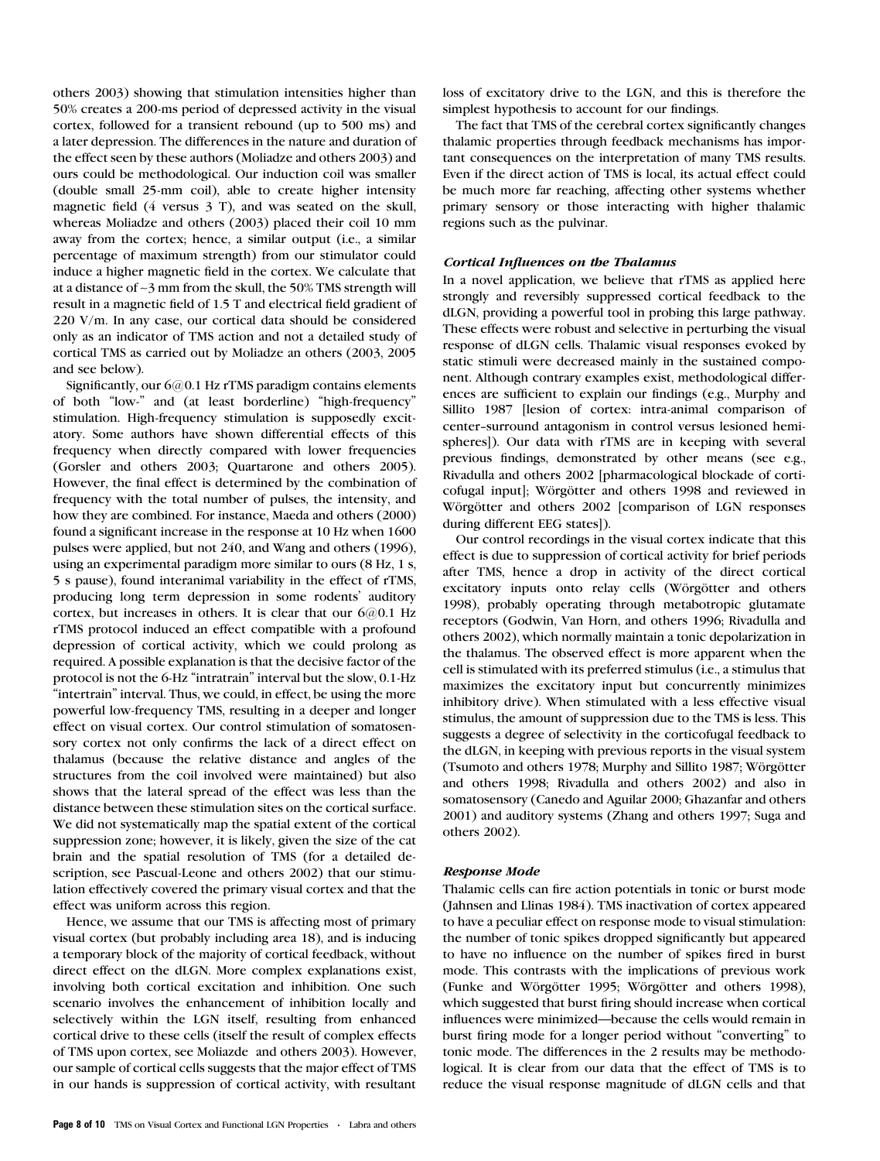others 2003) showing that stimulation intensities higher than 50% creates a 200-ms period of depressed activity in the visual cortex, followed for a transient rebound (up to 500 ms) and a later depression. The differences in the nature and duration of the effect seen by these authors (Moliadze and others 2003) and ours could be methodological. Our induction coil was smaller (double small 25-mm coil), able to create higher intensity magnetic field (4 versus 3 T), and was seated on the skull, whereas Moliadze and others (2003) placed their coil 10 mm away from the cortex; hence, a similar output (i.e., a similar percentage of maximum strength) from our stimulator could induce a higher magnetic field in the cortex. We calculate that at a distance of ~3 mm from the skull, the 50% TMS strength will result in a magnetic field of 1.5 T and electrical field gradient of 220 V/m. In any case, our cortical data should be considered only as an indicator of TMS action and not a detailed study of cortical TMS as carried out by Moliadze an others (2003, 2005 and see below).

Significantly, our 6@0.1 Hz rTMS paradigm contains elements of both ''low-'' and (at least borderline) ''high-frequency'' stimulation. High-frequency stimulation is supposedly excitatory. Some authors have shown differential effects of this frequency when directly compared with lower frequencies (Gorsler and others 2003; Quartarone and others 2005). However, the final effect is determined by the combination of frequency with the total number of pulses, the intensity, and how they are combined. For instance, Maeda and others (2000) found a significant increase in the response at 10 Hz when 1600 pulses were applied, but not 240, and Wang and others (1996), using an experimental paradigm more similar to ours (8 Hz, 1 s, 5 s pause), found interanimal variability in the effect of rTMS, producing long term depression in some rodents' auditory cortex, but increases in others. It is clear that our  $6@0.1$  Hz rTMS protocol induced an effect compatible with a profound depression of cortical activity, which we could prolong as required. A possible explanation is that the decisive factor of the protocol is not the 6-Hz ''intratrain'' interval but the slow, 0.1-Hz "intertrain" interval. Thus, we could, in effect, be using the more powerful low-frequency TMS, resulting in a deeper and longer effect on visual cortex. Our control stimulation of somatosensory cortex not only confirms the lack of a direct effect on thalamus (because the relative distance and angles of the structures from the coil involved were maintained) but also shows that the lateral spread of the effect was less than the distance between these stimulation sites on the cortical surface. We did not systematically map the spatial extent of the cortical suppression zone; however, it is likely, given the size of the cat brain and the spatial resolution of TMS (for a detailed description, see Pascual-Leone and others 2002) that our stimulation effectively covered the primary visual cortex and that the effect was uniform across this region.

Hence, we assume that our TMS is affecting most of primary visual cortex (but probably including area 18), and is inducing a temporary block of the majority of cortical feedback, without direct effect on the dLGN. More complex explanations exist, involving both cortical excitation and inhibition. One such scenario involves the enhancement of inhibition locally and selectively within the LGN itself, resulting from enhanced cortical drive to these cells (itself the result of complex effects of TMS upon cortex, see Moliazde and others 2003). However, our sample of cortical cells suggests that the major effect of TMS in our hands is suppression of cortical activity, with resultant loss of excitatory drive to the LGN, and this is therefore the simplest hypothesis to account for our findings.

The fact that TMS of the cerebral cortex significantly changes thalamic properties through feedback mechanisms has important consequences on the interpretation of many TMS results. Even if the direct action of TMS is local, its actual effect could be much more far reaching, affecting other systems whether primary sensory or those interacting with higher thalamic regions such as the pulvinar.

## Cortical Influences on the Thalamus

In a novel application, we believe that rTMS as applied here strongly and reversibly suppressed cortical feedback to the dLGN, providing a powerful tool in probing this large pathway. These effects were robust and selective in perturbing the visual response of dLGN cells. Thalamic visual responses evoked by static stimuli were decreased mainly in the sustained component. Although contrary examples exist, methodological differences are sufficient to explain our findings (e.g., Murphy and Sillito 1987 [lesion of cortex: intra-animal comparison of center--surround antagonism in control versus lesioned hemispheres]). Our data with rTMS are in keeping with several previous findings, demonstrated by other means (see e.g., Rivadulla and others 2002 [pharmacological blockade of corticofugal input]; Wörgötter and others 1998 and reviewed in Wörgötter and others 2002 [comparison of LGN responses during different EEG states]).

Our control recordings in the visual cortex indicate that this effect is due to suppression of cortical activity for brief periods after TMS, hence a drop in activity of the direct cortical excitatory inputs onto relay cells (Wörgötter and others 1998), probably operating through metabotropic glutamate receptors (Godwin, Van Horn, and others 1996; Rivadulla and others 2002), which normally maintain a tonic depolarization in the thalamus. The observed effect is more apparent when the cell is stimulated with its preferred stimulus (i.e., a stimulus that maximizes the excitatory input but concurrently minimizes inhibitory drive). When stimulated with a less effective visual stimulus, the amount of suppression due to the TMS is less. This suggests a degree of selectivity in the corticofugal feedback to the dLGN, in keeping with previous reports in the visual system (Tsumoto and others 1978; Murphy and Sillito 1987; Wörgötter and others 1998; Rivadulla and others 2002) and also in somatosensory (Canedo and Aguilar 2000; Ghazanfar and others 2001) and auditory systems (Zhang and others 1997; Suga and others 2002).

# Response Mode

Thalamic cells can fire action potentials in tonic or burst mode (Jahnsen and Llinas 1984). TMS inactivation of cortex appeared to have a peculiar effect on response mode to visual stimulation: the number of tonic spikes dropped significantly but appeared to have no influence on the number of spikes fired in burst mode. This contrasts with the implications of previous work (Funke and Wörgötter 1995; Wörgötter and others 1998), which suggested that burst firing should increase when cortical influences were minimized—because the cells would remain in burst firing mode for a longer period without ''converting'' to tonic mode. The differences in the 2 results may be methodological. It is clear from our data that the effect of TMS is to reduce the visual response magnitude of dLGN cells and that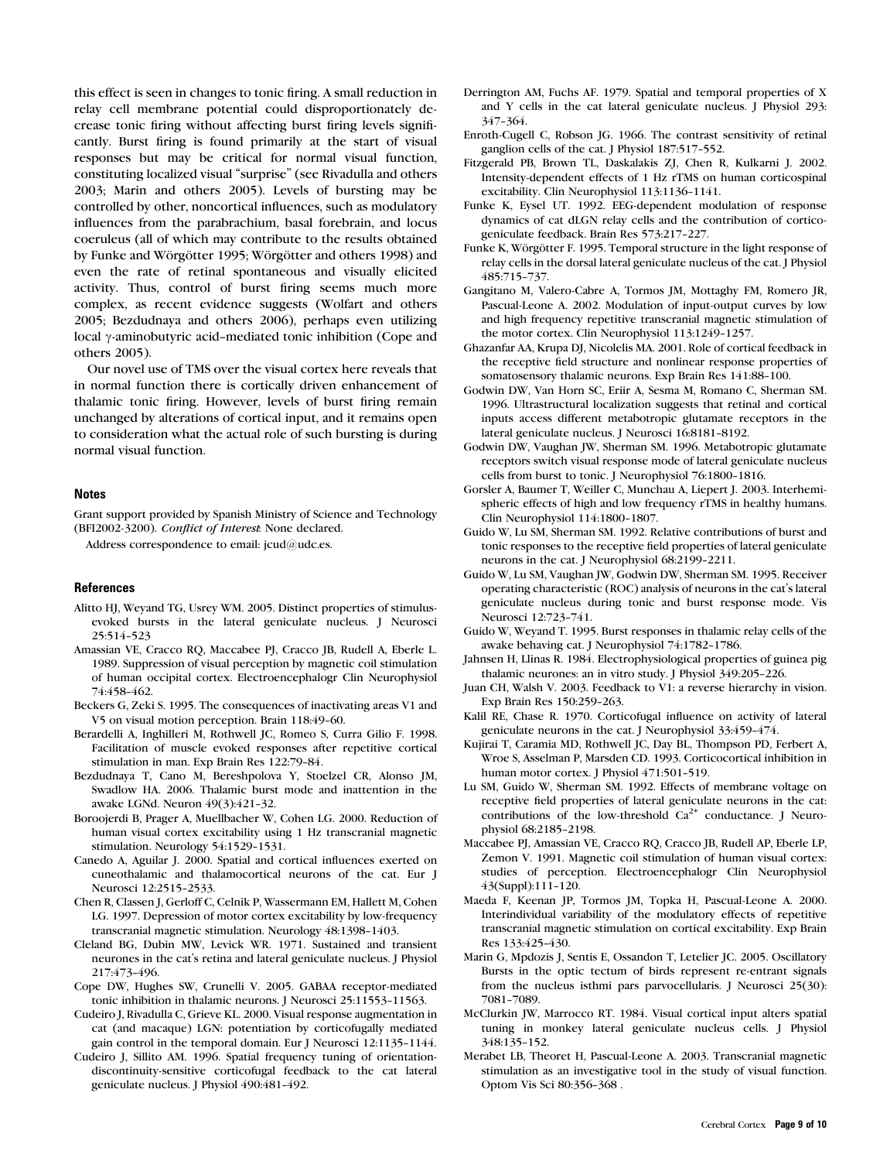this effect is seen in changes to tonic firing. A small reduction in relay cell membrane potential could disproportionately decrease tonic firing without affecting burst firing levels significantly. Burst firing is found primarily at the start of visual responses but may be critical for normal visual function, constituting localized visual ''surprise'' (see Rivadulla and others 2003; Marin and others 2005). Levels of bursting may be controlled by other, noncortical influences, such as modulatory influences from the parabrachium, basal forebrain, and locus coeruleus (all of which may contribute to the results obtained by Funke and Wörgötter 1995; Wörgötter and others 1998) and even the rate of retinal spontaneous and visually elicited activity. Thus, control of burst firing seems much more complex, as recent evidence suggests (Wolfart and others 2005; Bezdudnaya and others 2006), perhaps even utilizing local  $\gamma$ -aminobutyric acid-mediated tonic inhibition (Cope and others 2005).

Our novel use of TMS over the visual cortex here reveals that in normal function there is cortically driven enhancement of thalamic tonic firing. However, levels of burst firing remain unchanged by alterations of cortical input, and it remains open to consideration what the actual role of such bursting is during normal visual function.

#### **Notes**

Grant support provided by Spanish Ministry of Science and Technology (BFI2002-3200). Conflict of Interest: None declared.

Address correspondence to email: jcud@udc.es.

#### References

- Alitto HJ, Weyand TG, Usrey WM. 2005. Distinct properties of stimulusevoked bursts in the lateral geniculate nucleus. J Neurosci 25:514--523
- Amassian VE, Cracco RQ, Maccabee PJ, Cracco JB, Rudell A, Eberle L. 1989. Suppression of visual perception by magnetic coil stimulation of human occipital cortex. Electroencephalogr Clin Neurophysiol 74:458-462.
- Beckers G, Zeki S. 1995. The consequences of inactivating areas V1 and V5 on visual motion perception. Brain 118:49-60.
- Berardelli A, Inghilleri M, Rothwell JC, Romeo S, Curra Gilio F. 1998. Facilitation of muscle evoked responses after repetitive cortical stimulation in man. Exp Brain Res 122:79-84.
- Bezdudnaya T, Cano M, Bereshpolova Y, Stoelzel CR, Alonso JM, Swadlow HA. 2006. Thalamic burst mode and inattention in the awake LGNd. Neuron 49(3):421-32.
- Boroojerdi B, Prager A, Muellbacher W, Cohen LG. 2000. Reduction of human visual cortex excitability using 1 Hz transcranial magnetic stimulation. Neurology 54:1529-1531.
- Canedo A, Aguilar J. 2000. Spatial and cortical influences exerted on cuneothalamic and thalamocortical neurons of the cat. Eur J Neurosci 12:2515-2533.
- Chen R, Classen J, Gerloff C, Celnik P, Wassermann EM, Hallett M, Cohen LG. 1997. Depression of motor cortex excitability by low-frequency transcranial magnetic stimulation. Neurology 48:1398-1403.
- Cleland BG, Dubin MW, Levick WR. 1971. Sustained and transient neurones in the cat's retina and lateral geniculate nucleus. J Physiol 217:473-496.
- Cope DW, Hughes SW, Crunelli V. 2005. GABAA receptor-mediated tonic inhibition in thalamic neurons. J Neurosci 25:11553--11563.
- Cudeiro J, Rivadulla C, Grieve KL. 2000. Visual response augmentation in cat (and macaque) LGN: potentiation by corticofugally mediated gain control in the temporal domain. Eur J Neurosci 12:1135-1144.
- Cudeiro J, Sillito AM. 1996. Spatial frequency tuning of orientationdiscontinuity-sensitive corticofugal feedback to the cat lateral geniculate nucleus. J Physiol 490:481-492.
- Derrington AM, Fuchs AF. 1979. Spatial and temporal properties of X and Y cells in the cat lateral geniculate nucleus. J Physiol 293: 347-364.
- Enroth-Cugell C, Robson JG. 1966. The contrast sensitivity of retinal ganglion cells of the cat. J Physiol 187:517-552.
- Fitzgerald PB, Brown TL, Daskalakis ZJ, Chen R, Kulkarni J. 2002. Intensity-dependent effects of 1 Hz rTMS on human corticospinal excitability. Clin Neurophysiol 113:1136-1141.
- Funke K, Eysel UT. 1992. EEG-dependent modulation of response dynamics of cat dLGN relay cells and the contribution of corticogeniculate feedback. Brain Res 573:217-227.
- Funke K, Wörgötter F. 1995. Temporal structure in the light response of relay cells in the dorsal lateral geniculate nucleus of the cat. J Physiol 485:715--737.
- Gangitano M, Valero-Cabre A, Tormos JM, Mottaghy FM, Romero JR, Pascual-Leone A. 2002. Modulation of input-output curves by low and high frequency repetitive transcranial magnetic stimulation of the motor cortex. Clin Neurophysiol 113:1249-1257.
- Ghazanfar AA, Krupa DJ, Nicolelis MA. 2001. Role of cortical feedback in the receptive field structure and nonlinear response properties of somatosensory thalamic neurons. Exp Brain Res 141:88-100.
- Godwin DW, Van Horn SC, Eriir A, Sesma M, Romano C, Sherman SM. 1996. Ultrastructural localization suggests that retinal and cortical inputs access different metabotropic glutamate receptors in the lateral geniculate nucleus. J Neurosci 16:8181-8192.
- Godwin DW, Vaughan JW, Sherman SM. 1996. Metabotropic glutamate receptors switch visual response mode of lateral geniculate nucleus cells from burst to tonic. J Neurophysiol 76:1800-1816.
- Gorsler A, Baumer T, Weiller C, Munchau A, Liepert J. 2003. Interhemispheric effects of high and low frequency rTMS in healthy humans. Clin Neurophysiol 114:1800-1807.
- Guido W, Lu SM, Sherman SM. 1992. Relative contributions of burst and tonic responses to the receptive field properties of lateral geniculate neurons in the cat. J Neurophysiol 68:2199-2211.
- Guido W, Lu SM, Vaughan JW, Godwin DW, Sherman SM. 1995. Receiver operating characteristic (ROC) analysis of neurons in the cat's lateral geniculate nucleus during tonic and burst response mode. Vis Neurosci 12:723--741.
- Guido W, Weyand T. 1995. Burst responses in thalamic relay cells of the awake behaving cat. J Neurophysiol 74:1782-1786.
- Jahnsen H, Llinas R. 1984. Electrophysiological properties of guinea pig thalamic neurones: an in vitro study. J Physiol 349:205-226.
- Juan CH, Walsh V. 2003. Feedback to V1: a reverse hierarchy in vision. Exp Brain Res 150:259-263.
- Kalil RE, Chase R. 1970. Corticofugal influence on activity of lateral geniculate neurons in the cat. J Neurophysiol 33:459-474.
- Kujirai T, Caramia MD, Rothwell JC, Day BL, Thompson PD, Ferbert A, Wroe S, Asselman P, Marsden CD. 1993. Corticocortical inhibition in human motor cortex. J Physiol 471:501-519.
- Lu SM, Guido W, Sherman SM. 1992. Effects of membrane voltage on receptive field properties of lateral geniculate neurons in the cat: contributions of the low-threshold  $Ca^{2+}$  conductance. J Neurophysiol 68:2185-2198.
- Maccabee PJ, Amassian VE, Cracco RQ, Cracco JB, Rudell AP, Eberle LP, Zemon V. 1991. Magnetic coil stimulation of human visual cortex: studies of perception. Electroencephalogr Clin Neurophysiol 43(Suppl):111--120.
- Maeda F, Keenan JP, Tormos JM, Topka H, Pascual-Leone A. 2000. Interindividual variability of the modulatory effects of repetitive transcranial magnetic stimulation on cortical excitability. Exp Brain Res 133:425-430.
- Marin G, Mpdozis J, Sentis E, Ossandon T, Letelier JC. 2005. Oscillatory Bursts in the optic tectum of birds represent re-entrant signals from the nucleus isthmi pars parvocellularis. J Neurosci 25(30): 7081--7089.
- McClurkin JW, Marrocco RT. 1984. Visual cortical input alters spatial tuning in monkey lateral geniculate nucleus cells. J Physiol 348:135--152.
- Merabet LB, Theoret H, Pascual-Leone A. 2003. Transcranial magnetic stimulation as an investigative tool in the study of visual function. Optom Vis Sci 80:356-368.